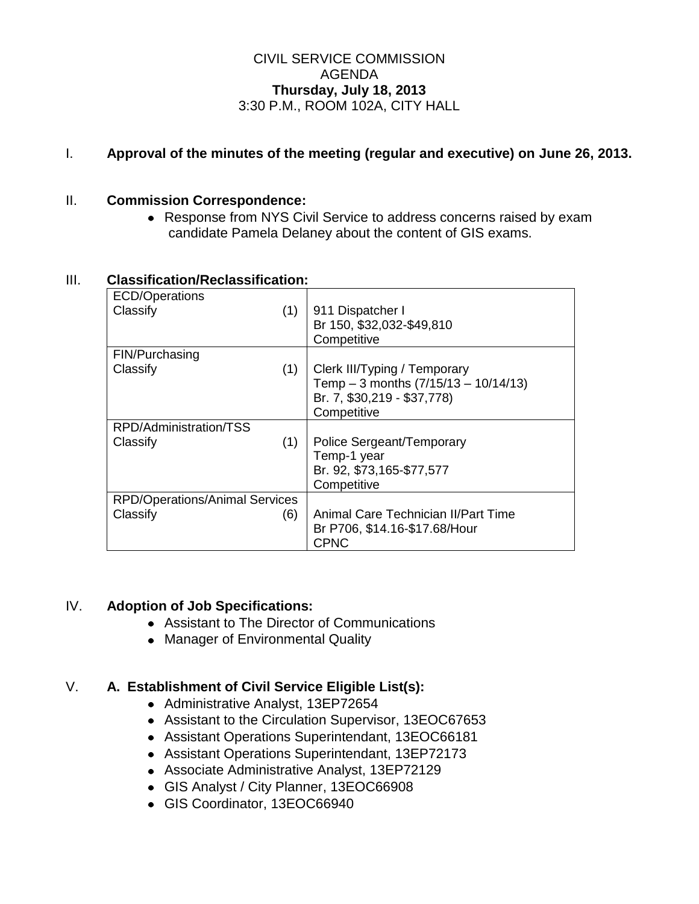## CIVIL SERVICE COMMISSION AGENDA **Thursday, July 18, 2013** 3:30 P.M., ROOM 102A, CITY HALL

# I. **Approval of the minutes of the meeting (regular and executive) on June 26, 2013.**

## II. **Commission Correspondence:**

Response from NYS Civil Service to address concerns raised by exam candidate Pamela Delaney about the content of GIS exams.

| Classilication/Reclassilication:      |     |                                         |
|---------------------------------------|-----|-----------------------------------------|
| ECD/Operations                        |     |                                         |
| Classify                              | (1) | 911 Dispatcher I                        |
|                                       |     | Br 150, \$32,032-\$49,810               |
|                                       |     | Competitive                             |
| FIN/Purchasing                        |     |                                         |
| Classify                              | (1) | Clerk III/Typing / Temporary            |
|                                       |     | Temp $-3$ months $(7/15/13 - 10/14/13)$ |
|                                       |     | Br. 7, \$30,219 - \$37,778)             |
|                                       |     | Competitive                             |
| RPD/Administration/TSS                |     |                                         |
| Classify                              | (1) | Police Sergeant/Temporary               |
|                                       |     | Temp-1 year                             |
|                                       |     | Br. 92, \$73,165-\$77,577               |
|                                       |     | Competitive                             |
| <b>RPD/Operations/Animal Services</b> |     |                                         |
| Classify                              | (6) | Animal Care Technician II/Part Time     |
|                                       |     | Br P706, \$14.16-\$17.68/Hour           |
|                                       |     | <b>CPNC</b>                             |

# III. **Classification/Reclassification:**

## IV. **Adoption of Job Specifications:**

- Assistant to The Director of Communications
- Manager of Environmental Quality

## V. **A. Establishment of Civil Service Eligible List(s):**

- Administrative Analyst, 13EP72654
- Assistant to the Circulation Supervisor, 13EOC67653
- Assistant Operations Superintendant, 13EOC66181
- Assistant Operations Superintendant, 13EP72173
- Associate Administrative Analyst, 13EP72129
- GIS Analyst / City Planner, 13EOC66908
- GIS Coordinator, 13EOC66940